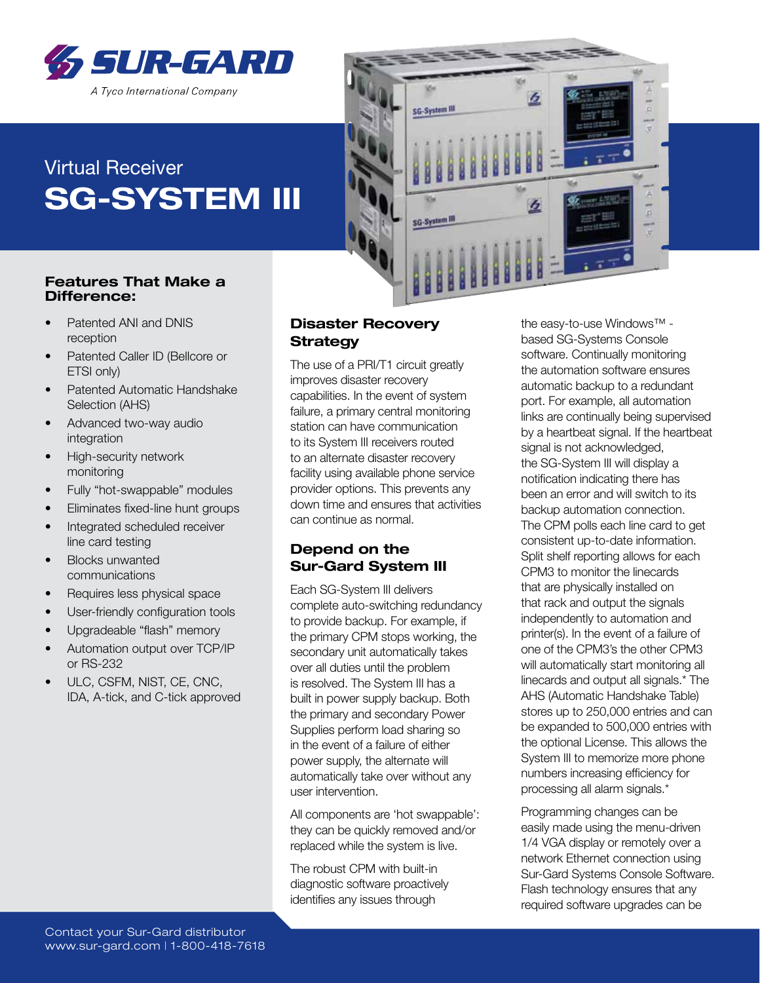

# Virtual Receiver SG-SYSTEM III



#### Features That Make a Difference:

- Patented ANI and DNIS reception
- Patented Caller ID (Bellcore or ETSI only)
- Patented Automatic Handshake Selection (AHS)
- Advanced two-way audio integration
- High-security network monitoring
- Fully "hot-swappable" modules
- Eliminates fixed-line hunt groups
- Integrated scheduled receiver line card testing
- **Blocks unwanted** communications
- Requires less physical space
- User-friendly configuration tools
- Upgradeable "flash" memory
- Automation output over TCP/IP or RS-232
- ULC, CSFM, NIST, CE, CNC, IDA, A-tick, and C-tick approved

# Disaster Recovery **Strategy**

The use of a PRI/T1 circuit greatly improves disaster recovery capabilities. In the event of system failure, a primary central monitoring station can have communication to its System III receivers routed to an alternate disaster recovery facility using available phone service provider options. This prevents any down time and ensures that activities can continue as normal.

# Depend on the Sur-Gard System III

Each SG-System III delivers complete auto-switching redundancy to provide backup. For example, if the primary CPM stops working, the secondary unit automatically takes over all duties until the problem is resolved. The System III has a built in power supply backup. Both the primary and secondary Power Supplies perform load sharing so in the event of a failure of either power supply, the alternate will automatically take over without any user intervention.

All components are 'hot swappable': they can be quickly removed and/or replaced while the system is live.

The robust CPM with built-in diagnostic software proactively identifies any issues through

the easy-to-use Windows™ based SG-Systems Console software. Continually monitoring the automation software ensures automatic backup to a redundant port. For example, all automation links are continually being supervised by a heartbeat signal. If the heartbeat signal is not acknowledged, the SG-System III will display a notification indicating there has been an error and will switch to its backup automation connection. The CPM polls each line card to get consistent up-to-date information. Split shelf reporting allows for each CPM3 to monitor the linecards that are physically installed on that rack and output the signals independently to automation and printer(s). In the event of a failure of one of the CPM3's the other CPM3 will automatically start monitoring all linecards and output all signals.\* The AHS (Automatic Handshake Table) stores up to 250,000 entries and can be expanded to 500,000 entries with the optional License. This allows the System III to memorize more phone numbers increasing efficiency for processing all alarm signals.\*

Programming changes can be easily made using the menu-driven 1/4 VGA display or remotely over a network Ethernet connection using Sur-Gard Systems Console Software. Flash technology ensures that any required software upgrades can be